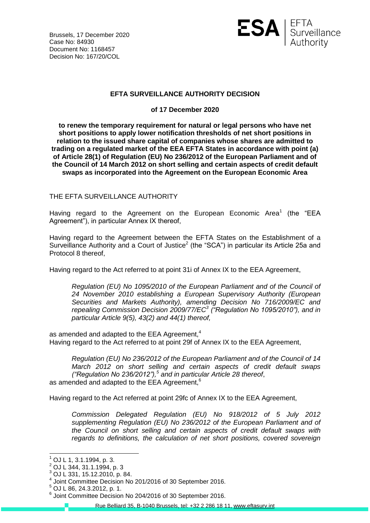

## **EFTA SURVEILLANCE AUTHORITY DECISION**

#### **of 17 December 2020**

**to renew the temporary requirement for natural or legal persons who have net short positions to apply lower notification thresholds of net short positions in relation to the issued share capital of companies whose shares are admitted to trading on a regulated market of the EEA EFTA States in accordance with point (a) of Article 28(1) of Regulation (EU) No 236/2012 of the European Parliament and of the Council of 14 March 2012 on short selling and certain aspects of credit default swaps as incorporated into the Agreement on the European Economic Area**

#### THE EFTA SURVEILLANCE AUTHORITY

Having regard to the Agreement on the European Economic Area<sup>1</sup> (the "EEA Agreement"), in particular Annex IX thereof,

Having regard to the Agreement between the EFTA States on the Establishment of a Surveillance Authority and a Court of Justice<sup>2</sup> (the "SCA") in particular its Article 25a and Protocol 8 thereof,

Having regard to the Act referred to at point 31i of Annex IX to the EEA Agreement,

*Regulation (EU) No 1095/2010 of the European Parliament and of the Council of 24 November 2010 establishing a European Supervisory Authority (European Securities and Markets Authority), amending Decision No 716/2009/EC and repealing Commission Decision 2009/77/EC<sup>3</sup> ("Regulation No 1095/2010"), and in particular Article 9(5), 43(2) and 44(1) thereof,* 

as amended and adapted to the EEA Agreement, $4$ Having regard to the Act referred to at point 29f of Annex IX to the EEA Agreement,

*Regulation (EU) No 236/2012 of the European Parliament and of the Council of 14 March 2012 on short selling and certain aspects of credit default swaps ("Regulation No 236/2012"),<sup>5</sup> and in particular Article 28 thereof*, as amended and adapted to the EEA Agreement, $6$ 

Having regard to the Act referred at point 29fc of Annex IX to the EEA Agreement,

*Commission Delegated Regulation (EU) No 918/2012 of 5 July 2012 supplementing Regulation (EU) No 236/2012 of the European Parliament and of the Council on short selling and certain aspects of credit default swaps with regards to definitions, the calculation of net short positions, covered sovereign* 

1

OJ L 1, 3.1.1994, p. 3.

<sup>2</sup> OJ L 344, 31.1.1994, p. 3

 $3$  OJ L 331, 15.12.2010, p. 84.

<sup>&</sup>lt;sup>4</sup> Joint Committee Decision No 201/2016 of 30 September 2016.

<sup>5</sup> OJ L 86, 24.3.2012, p. 1.

<sup>6</sup> Joint Committee Decision No 204/2016 of 30 September 2016.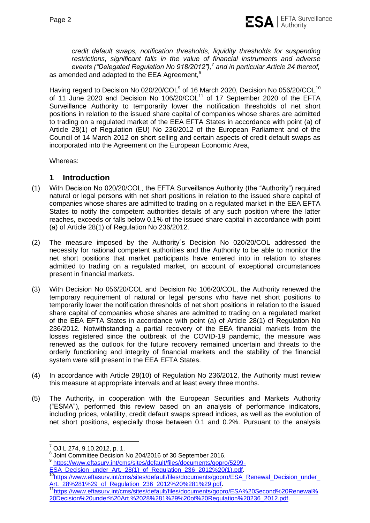

*credit default swaps, notification thresholds, liquidity thresholds for suspending restrictions, significant falls in the value of financial instruments and adverse events ("Delegated Regulation No 918/2012"),<sup>7</sup> and in particular Article 24 thereof,*  as amended and adapted to the EEA Agreement,*<sup>8</sup>*

Having regard to Decision No 020/20/COL<sup>9</sup> of 16 March 2020, Decision No 056/20/COL<sup>10</sup> of 11 June 2020 and Decision No 106/20/COL<sup>11</sup> of 17 September 2020 of the EFTA Surveillance Authority to temporarily lower the notification thresholds of net short positions in relation to the issued share capital of companies whose shares are admitted to trading on a regulated market of the EEA EFTA States in accordance with point (a) of Article 28(1) of Regulation (EU) No 236/2012 of the European Parliament and of the Council of 14 March 2012 on short selling and certain aspects of credit default swaps as incorporated into the Agreement on the European Economic Area,

Whereas:

# **1 Introduction**

- (1) With Decision No 020/20/COL, the EFTA Surveillance Authority (the "Authority") required natural or legal persons with net short positions in relation to the issued share capital of companies whose shares are admitted to trading on a regulated market in the EEA EFTA States to notify the competent authorities details of any such position where the latter reaches, exceeds or falls below 0.1% of the issued share capital in accordance with point (a) of Article 28(1) of Regulation No 236/2012.
- (2) The measure imposed by the Authority´s Decision No 020/20/COL addressed the necessity for national competent authorities and the Authority to be able to monitor the net short positions that market participants have entered into in relation to shares admitted to trading on a regulated market, on account of exceptional circumstances present in financial markets.
- (3) With Decision No 056/20/COL and Decision No 106/20/COL, the Authority renewed the temporary requirement of natural or legal persons who have net short positions to temporarily lower the notification thresholds of net short positions in relation to the issued share capital of companies whose shares are admitted to trading on a regulated market of the EEA EFTA States in accordance with point (a) of Article 28(1) of Regulation No 236/2012. Notwithstanding a partial recovery of the EEA financial markets from the losses registered since the outbreak of the COVID-19 pandemic, the measure was renewed as the outlook for the future recovery remained uncertain and threats to the orderly functioning and integrity of financial markets and the stability of the financial system were still present in the EEA EFTA States.
- (4) In accordance with Article 28(10) of Regulation No 236/2012, the Authority must review this measure at appropriate intervals and at least every three months.
- (5) The Authority, in cooperation with the European Securities and Markets Authority ("ESMA"), performed this review based on an analysis of performance indicators, including prices, volatility, credit default swaps spread indices, as well as the evolution of net short positions, especially those between 0.1 and 0.2%. Pursuant to the analysis

<sup>-</sup> $\frac{7}{1}$  OJ L 274, 9.10.2012, p. 1.

<sup>&</sup>lt;sup>8</sup> Joint Committee Decision No 204/2016 of 30 September 2016.

<sup>9</sup> [https://www.eftasurv.int/cms/sites/default/files/documents/gopro/5299-](https://www.eftasurv.int/cms/sites/default/files/documents/gopro/5299-ESA_Decision_under_Art._28(1)_of_Regulation_236_2012%20(1).pdf)

[ESA\\_Decision\\_under\\_Art.\\_28\(1\)\\_of\\_Regulation\\_236\\_2012%20\(1\).pdf.](https://www.eftasurv.int/cms/sites/default/files/documents/gopro/5299-ESA_Decision_under_Art._28(1)_of_Regulation_236_2012%20(1).pdf)

<sup>10</sup>[https://www.eftasurv.int/cms/sites/default/files/documents/gopro/ESA\\_Renewal\\_Decision\\_under\\_](https://www.eftasurv.int/cms/sites/default/files/documents/gopro/ESA_Renewal_Decision_under_Art._28%281%29_of_Regulation_236_2012%20%281%29.pdf) [Art.\\_28%281%29\\_of\\_Regulation\\_236\\_2012%20%281%29.pdf.](https://www.eftasurv.int/cms/sites/default/files/documents/gopro/ESA_Renewal_Decision_under_Art._28%281%29_of_Regulation_236_2012%20%281%29.pdf)

<sup>&</sup>lt;sup>11</sup>[https://www.eftasurv.int/cms/sites/default/files/documents/gopro/ESA%20Second%20Renewal%](https://www.eftasurv.int/cms/sites/default/files/documents/gopro/ESA%20Second%20Renewal%20Decision%20under%20Art.%2028%281%29%20of%20Regulation%20236_2012.pdf) [20Decision%20under%20Art.%2028%281%29%20of%20Regulation%20236\\_2012.pdf.](https://www.eftasurv.int/cms/sites/default/files/documents/gopro/ESA%20Second%20Renewal%20Decision%20under%20Art.%2028%281%29%20of%20Regulation%20236_2012.pdf)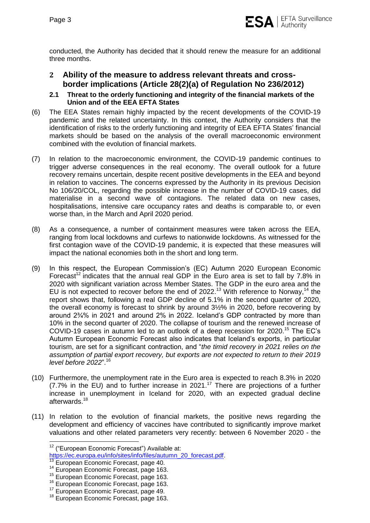

conducted, the Authority has decided that it should renew the measure for an additional three months.

- **2 Ability of the measure to address relevant threats and crossborder implications (Article 28(2)(a) of Regulation No 236/2012)**
- **2.1 Threat to the orderly functioning and integrity of the financial markets of the Union and of the EEA EFTA States**
- (6) The EEA States remain highly impacted by the recent developments of the COVID-19 pandemic and the related uncertainty. In this context, the Authority considers that the identification of risks to the orderly functioning and integrity of EEA EFTA States' financial markets should be based on the analysis of the overall macroeconomic environment combined with the evolution of financial markets.
- (7) In relation to the macroeconomic environment, the COVID-19 pandemic continues to trigger adverse consequences in the real economy. The overall outlook for a future recovery remains uncertain, despite recent positive developments in the EEA and beyond in relation to vaccines. The concerns expressed by the Authority in its previous Decision No 106/20/COL, regarding the possible increase in the number of COVID-19 cases, did materialise in a second wave of contagions. The related data on new cases, hospitalisations, intensive care occupancy rates and deaths is comparable to, or even worse than, in the March and April 2020 period.
- (8) As a consequence, a number of containment measures were taken across the EEA, ranging from local lockdowns and curfews to nationwide lockdowns. As witnessed for the first contagion wave of the COVID-19 pandemic, it is expected that these measures will impact the national economies both in the short and long term.
- (9) In this respect, the European Commission's (EC) Autumn 2020 European Economic Forecast<sup>12</sup> indicates that the annual real GDP in the Euro area is set to fall by 7.8% in 2020 with significant variation across Member States. The GDP in the euro area and the EU is not expected to recover before the end of 2022.<sup>13</sup> With reference to Norway,<sup>14</sup> the report shows that, following a real GDP decline of 5.1% in the second quarter of 2020, the overall economy is forecast to shrink by around 3½% in 2020, before recovering by around 2¾% in 2021 and around 2% in 2022. Iceland's GDP contracted by more than 10% in the second quarter of 2020. The collapse of tourism and the renewed increase of COVID-19 cases in autumn led to an outlook of a deep recession for 2020.<sup>15</sup> The EC's Autumn European Economic Forecast also indicates that Iceland's exports, in particular tourism, are set for a significant contraction, and "*the timid recovery in 2021 relies on the assumption of partial export recovery, but exports are not expected to return to their 2019 level before 2022*". 16
- (10) Furthermore, the unemployment rate in the Euro area is expected to reach 8.3% in 2020 (7.7% in the EU) and to further increase in 2021.<sup>17</sup> There are projections of a further increase in unemployment in Iceland for 2020, with an expected gradual decline afterwards.<sup>18</sup>
- (11) In relation to the evolution of financial markets, the positive news regarding the development and efficiency of vaccines have contributed to significantly improve market valuations and other related parameters very recently: between 6 November 2020 - the

 $\overline{a}$ 

 $12$  ("European Economic Forecast") Available at:

[https://ec.europa.eu/info/sites/info/files/autumn\\_20\\_forecast.pdf.](https://ec.europa.eu/info/sites/info/files/autumn_20_forecast.pdf)

<sup>13</sup> European Economic Forecast, page 40.

<sup>&</sup>lt;sup>14</sup> European Economic Forecast, page 163.

<sup>&</sup>lt;sup>15</sup> European Economic Forecast, page 163.

<sup>&</sup>lt;sup>16</sup> European Economic Forecast, page 163.

<sup>&</sup>lt;sup>17</sup> European Economic Forecast, page 49.

<sup>&</sup>lt;sup>18</sup> European Economic Forecast, page 163.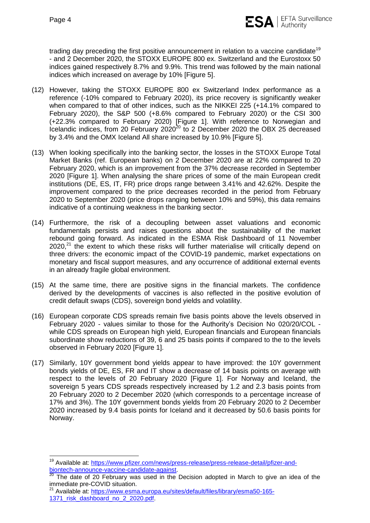

trading day preceding the first positive announcement in relation to a vaccine candidate<sup>19</sup> - and 2 December 2020, the STOXX EUROPE 800 ex. Switzerland and the Eurostoxx 50 indices gained respectively 8.7% and 9.9%. This trend was followed by the main national indices which increased on average by 10% [Figure 5].

- (12) However, taking the STOXX EUROPE 800 ex Switzerland Index performance as a reference (-10% compared to February 2020), its price recovery is significantly weaker when compared to that of other indices, such as the NIKKEI 225 (+14.1% compared to February 2020), the S&P 500 (+8.6% compared to February 2020) or the CSI 300 (+22.3% compared to February 2020) [Figure 1]. With reference to Norwegian and Icelandic indices, from 20 February 2020<sup>20</sup> to 2 December 2020 the OBX 25 decreased by 3.4% and the OMX Iceland All share increased by 10.9% [Figure 5].
- (13) When looking specifically into the banking sector, the losses in the STOXX Europe Total Market Banks (ref. European banks) on 2 December 2020 are at 22% compared to 20 February 2020, which is an improvement from the 37% decrease recorded in September 2020 [Figure 1]. When analysing the share prices of some of the main European credit institutions (DE, ES, IT, FR) price drops range between 3.41% and 42.62%. Despite the improvement compared to the price decreases recorded in the period from February 2020 to September 2020 (price drops ranging between 10% and 59%), this data remains indicative of a continuing weakness in the banking sector.
- (14) Furthermore, the risk of a decoupling between asset valuations and economic fundamentals persists and raises questions about the sustainability of the market rebound going forward. As indicated in the ESMA Risk Dashboard of 11 November  $2020$ ,<sup>21</sup> the extent to which these risks will further materialise will critically depend on three drivers: the economic impact of the COVID-19 pandemic, market expectations on monetary and fiscal support measures, and any occurrence of additional external events in an already fragile global environment.
- (15) At the same time, there are positive signs in the financial markets. The confidence derived by the developments of vaccines is also reflected in the positive evolution of credit default swaps (CDS), sovereign bond yields and volatility.
- (16) European corporate CDS spreads remain five basis points above the levels observed in February 2020 - values similar to those for the Authority's Decision No 020/20/COL while CDS spreads on European high yield, European financials and European financials subordinate show reductions of 39, 6 and 25 basis points if compared to the to the levels observed in February 2020 [Figure 1].
- (17) Similarly, 10Y government bond yields appear to have improved: the 10Y government bonds yields of DE, ES, FR and IT show a decrease of 14 basis points on average with respect to the levels of 20 February 2020 [Figure 1]. For Norway and Iceland, the sovereign 5 years CDS spreads respectively increased by 1.2 and 2.3 basis points from 20 February 2020 to 2 December 2020 (which corresponds to a percentage increase of 17% and 3%). The 10Y government bonds yields from 20 February 2020 to 2 December 2020 increased by 9.4 basis points for Iceland and it decreased by 50.6 basis points for Norway.

<sup>1</sup> <sup>19</sup> Available at: [https://www.pfizer.com/news/press-release/press-release-detail/pfizer-and](https://www.pfizer.com/news/press-release/press-release-detail/pfizer-and-biontech-announce-vaccine-candidate-against)[biontech-announce-vaccine-candidate-against.](https://www.pfizer.com/news/press-release/press-release-detail/pfizer-and-biontech-announce-vaccine-candidate-against)

The date of 20 February was used in the Decision adopted in March to give an idea of the immediate pre-COVID situation.

<sup>&</sup>lt;sup>21</sup> Available at: [https://www.esma.europa.eu/sites/default/files/library/esma50-165-](https://www.esma.europa.eu/sites/default/files/library/esma50-165-1371_risk_dashboard_no_2_2020.pdf) 1371 risk dashboard no 2 2020.pdf.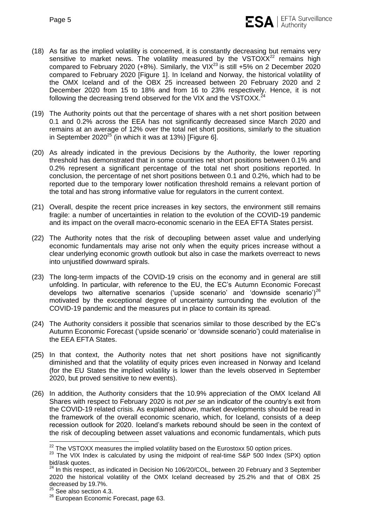

- (18) As far as the implied volatility is concerned, it is constantly decreasing but remains very sensitive to market news. The volatility measured by the VSTOX $X^{22}$  remains high compared to February 2020 (+8%). Similarly, the VIX<sup>23</sup> is still +5% on 2 December 2020 compared to February 2020 [Figure 1]. In Iceland and Norway, the historical volatility of the OMX Iceland and of the OBX 25 increased between 20 February 2020 and 2 December 2020 from 15 to 18% and from 16 to 23% respectively. Hence, it is not following the decreasing trend observed for the VIX and the VSTOXX. $^{24}$
- (19) The Authority points out that the percentage of shares with a net short position between 0.1 and 0.2% across the EEA has not significantly decreased since March 2020 and remains at an average of 12% over the total net short positions, similarly to the situation in September 2020<sup>25</sup> (in which it was at 13%) [Figure 6].
- (20) As already indicated in the previous Decisions by the Authority, the lower reporting threshold has demonstrated that in some countries net short positions between 0.1% and 0.2% represent a significant percentage of the total net short positions reported. In conclusion, the percentage of net short positions between 0.1 and 0.2%, which had to be reported due to the temporary lower notification threshold remains a relevant portion of the total and has strong informative value for regulators in the current context.
- (21) Overall, despite the recent price increases in key sectors, the environment still remains fragile: a number of uncertainties in relation to the evolution of the COVID-19 pandemic and its impact on the overall macro-economic scenario in the EEA EFTA States persist.
- (22) The Authority notes that the risk of decoupling between asset value and underlying economic fundamentals may arise not only when the equity prices increase without a clear underlying economic growth outlook but also in case the markets overreact to news into unjustified downward spirals.
- (23) The long-term impacts of the COVID-19 crisis on the economy and in general are still unfolding. In particular, with reference to the EU, the EC's Autumn Economic Forecast develops two alternative scenarios ('upside scenario' and 'downside scenario')<sup>26</sup> motivated by the exceptional degree of uncertainty surrounding the evolution of the COVID-19 pandemic and the measures put in place to contain its spread.
- (24) The Authority considers it possible that scenarios similar to those described by the EC's Autumn Economic Forecast ('upside scenario' or 'downside scenario') could materialise in the EEA EFTA States.
- (25) In that context, the Authority notes that net short positions have not significantly diminished and that the volatility of equity prices even increased in Norway and Iceland (for the EU States the implied volatility is lower than the levels observed in September 2020, but proved sensitive to new events).
- (26) In addition, the Authority considers that the 10.9% appreciation of the OMX Iceland All Shares with respect to February 2020 is not *per se* an indicator of the country's exit from the COVID-19 related crisis. As explained above, market developments should be read in the framework of the overall economic scenario, which, for Iceland, consists of a deep recession outlook for 2020. Iceland's markets rebound should be seen in the context of the risk of decoupling between asset valuations and economic fundamentals, which puts

  $22$  The VSTOXX measures the implied volatility based on the Eurostoxx 50 option prices.

<sup>&</sup>lt;sup>23</sup> The VIX Index is calculated by using the midpoint of real-time S&P 500 Index (SPX) option bid/ask quotes.

 $24$  In this respect, as indicated in Decision No 106/20/COL, between 20 February and 3 September 2020 the historical volatility of the OMX Iceland decreased by 25.2% and that of OBX 25 decreased by 19.7%.

 $25$  See also section 4.3.

<sup>&</sup>lt;sup>26</sup> European Economic Forecast, page 63.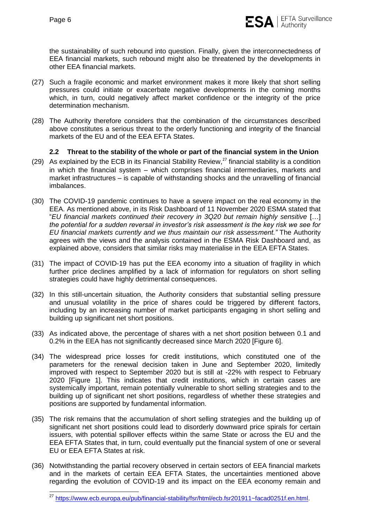1



the sustainability of such rebound into question. Finally, given the interconnectedness of EEA financial markets, such rebound might also be threatened by the developments in other EEA financial markets.

- (27) Such a fragile economic and market environment makes it more likely that short selling pressures could initiate or exacerbate negative developments in the coming months which, in turn, could negatively affect market confidence or the integrity of the price determination mechanism.
- (28) The Authority therefore considers that the combination of the circumstances described above constitutes a serious threat to the orderly functioning and integrity of the financial markets of the EU and of the EEA EFTA States.

# **2.2 Threat to the stability of the whole or part of the financial system in the Union**

- (29) As explained by the ECB in its Financial Stability Review,<sup>27</sup> financial stability is a condition in which the financial system – which comprises financial intermediaries, markets and market infrastructures – is capable of withstanding shocks and the unravelling of financial imbalances.
- (30) The COVID-19 pandemic continues to have a severe impact on the real economy in the EEA. As mentioned above, in its Risk Dashboard of 11 November 2020 ESMA stated that "*EU financial markets continued their recovery in 3Q20 but remain highly sensitive* […] *the potential for a sudden reversal in investor's risk assessment is the key risk we see for EU financial markets currently and we thus maintain our risk assessment."* The Authority agrees with the views and the analysis contained in the ESMA Risk Dashboard and, as explained above, considers that similar risks may materialise in the EEA EFTA States.
- (31) The impact of COVID-19 has put the EEA economy into a situation of fragility in which further price declines amplified by a lack of information for regulators on short selling strategies could have highly detrimental consequences.
- (32) In this still-uncertain situation, the Authority considers that substantial selling pressure and unusual volatility in the price of shares could be triggered by different factors, including by an increasing number of market participants engaging in short selling and building up significant net short positions.
- (33) As indicated above, the percentage of shares with a net short position between 0.1 and 0.2% in the EEA has not significantly decreased since March 2020 [Figure 6].
- (34) The widespread price losses for credit institutions, which constituted one of the parameters for the renewal decision taken in June and September 2020, limitedly improved with respect to September 2020 but is still at -22% with respect to February 2020 [Figure 1]. This indicates that credit institutions, which in certain cases are systemically important, remain potentially vulnerable to short selling strategies and to the building up of significant net short positions, regardless of whether these strategies and positions are supported by fundamental information.
- (35) The risk remains that the accumulation of short selling strategies and the building up of significant net short positions could lead to disorderly downward price spirals for certain issuers, with potential spillover effects within the same State or across the EU and the EEA EFTA States that, in turn, could eventually put the financial system of one or several EU or EEA EFTA States at risk.
- (36) Notwithstanding the partial recovery observed in certain sectors of EEA financial markets and in the markets of certain EEA EFTA States, the uncertainties mentioned above regarding the evolution of COVID-19 and its impact on the EEA economy remain and

<sup>&</sup>lt;sup>27</sup> [https://www.ecb.europa.eu/pub/financial-stability/fsr/html/ecb.fsr201911~facad0251f.en.html.](https://www.ecb.europa.eu/pub/financial-stability/fsr/html/ecb.fsr201911~facad0251f.en.html)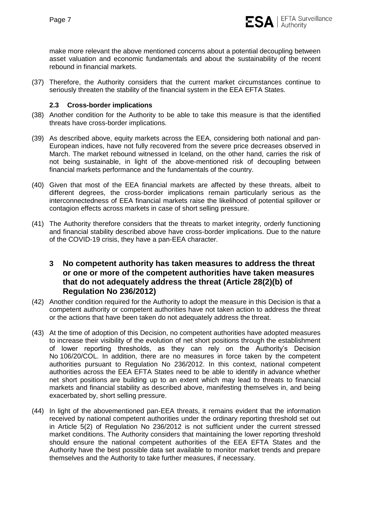

make more relevant the above mentioned concerns about a potential decoupling between asset valuation and economic fundamentals and about the sustainability of the recent rebound in financial markets.

(37) Therefore, the Authority considers that the current market circumstances continue to seriously threaten the stability of the financial system in the EEA EFTA States.

#### **2.3 Cross-border implications**

- (38) Another condition for the Authority to be able to take this measure is that the identified threats have cross-border implications.
- (39) As described above, equity markets across the EEA, considering both national and pan-European indices, have not fully recovered from the severe price decreases observed in March. The market rebound witnessed in Iceland, on the other hand, carries the risk of not being sustainable, in light of the above-mentioned risk of decoupling between financial markets performance and the fundamentals of the country.
- (40) Given that most of the EEA financial markets are affected by these threats, albeit to different degrees, the cross-border implications remain particularly serious as the interconnectedness of EEA financial markets raise the likelihood of potential spillover or contagion effects across markets in case of short selling pressure.
- (41) The Authority therefore considers that the threats to market integrity, orderly functioning and financial stability described above have cross-border implications. Due to the nature of the COVID-19 crisis, they have a pan-EEA character.

# **3 No competent authority has taken measures to address the threat or one or more of the competent authorities have taken measures that do not adequately address the threat (Article 28(2)(b) of Regulation No 236/2012)**

- (42) Another condition required for the Authority to adopt the measure in this Decision is that a competent authority or competent authorities have not taken action to address the threat or the actions that have been taken do not adequately address the threat.
- (43) At the time of adoption of this Decision, no competent authorities have adopted measures to increase their visibility of the evolution of net short positions through the establishment of lower reporting thresholds, as they can rely on the Authority's Decision No 106/20/COL. In addition, there are no measures in force taken by the competent authorities pursuant to Regulation No 236/2012. In this context, national competent authorities across the EEA EFTA States need to be able to identify in advance whether net short positions are building up to an extent which may lead to threats to financial markets and financial stability as described above, manifesting themselves in, and being exacerbated by, short selling pressure.
- (44) In light of the abovementioned pan-EEA threats, it remains evident that the information received by national competent authorities under the ordinary reporting threshold set out in Article 5(2) of Regulation No 236/2012 is not sufficient under the current stressed market conditions. The Authority considers that maintaining the lower reporting threshold should ensure the national competent authorities of the EEA EFTA States and the Authority have the best possible data set available to monitor market trends and prepare themselves and the Authority to take further measures, if necessary.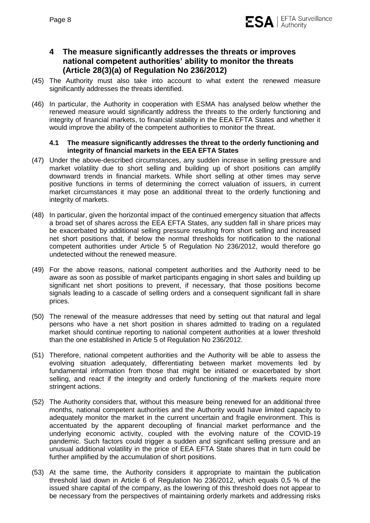

# **4 The measure significantly addresses the threats or improves national competent authorities' ability to monitor the threats (Article 28(3)(a) of Regulation No 236/2012)**

- (45) The Authority must also take into account to what extent the renewed measure significantly addresses the threats identified.
- (46) In particular, the Authority in cooperation with ESMA has analysed below whether the renewed measure would significantly address the threats to the orderly functioning and integrity of financial markets, to financial stability in the EEA EFTA States and whether it would improve the ability of the competent authorities to monitor the threat.

#### **4.1 The measure significantly addresses the threat to the orderly functioning and integrity of financial markets in the EEA EFTA States**

- (47) Under the above-described circumstances, any sudden increase in selling pressure and market volatility due to short selling and building up of short positions can amplify downward trends in financial markets. While short selling at other times may serve positive functions in terms of determining the correct valuation of issuers, in current market circumstances it may pose an additional threat to the orderly functioning and integrity of markets.
- (48) In particular, given the horizontal impact of the continued emergency situation that affects a broad set of shares across the EEA EFTA States, any sudden fall in share prices may be exacerbated by additional selling pressure resulting from short selling and increased net short positions that, if below the normal thresholds for notification to the national competent authorities under Article 5 of Regulation No 236/2012, would therefore go undetected without the renewed measure.
- (49) For the above reasons, national competent authorities and the Authority need to be aware as soon as possible of market participants engaging in short sales and building up significant net short positions to prevent, if necessary, that those positions become signals leading to a cascade of selling orders and a consequent significant fall in share prices.
- (50) The renewal of the measure addresses that need by setting out that natural and legal persons who have a net short position in shares admitted to trading on a regulated market should continue reporting to national competent authorities at a lower threshold than the one established in Article 5 of Regulation No 236/2012.
- (51) Therefore, national competent authorities and the Authority will be able to assess the evolving situation adequately, differentiating between market movements led by fundamental information from those that might be initiated or exacerbated by short selling, and react if the integrity and orderly functioning of the markets require more stringent actions.
- (52) The Authority considers that, without this measure being renewed for an additional three months, national competent authorities and the Authority would have limited capacity to adequately monitor the market in the current uncertain and fragile environment. This is accentuated by the apparent decoupling of financial market performance and the underlying economic activity, coupled with the evolving nature of the COVID-19 pandemic. Such factors could trigger a sudden and significant selling pressure and an unusual additional volatility in the price of EEA EFTA State shares that in turn could be further amplified by the accumulation of short positions.
- (53) At the same time, the Authority considers it appropriate to maintain the publication threshold laid down in Article 6 of Regulation No 236/2012, which equals 0,5 % of the issued share capital of the company, as the lowering of this threshold does not appear to be necessary from the perspectives of maintaining orderly markets and addressing risks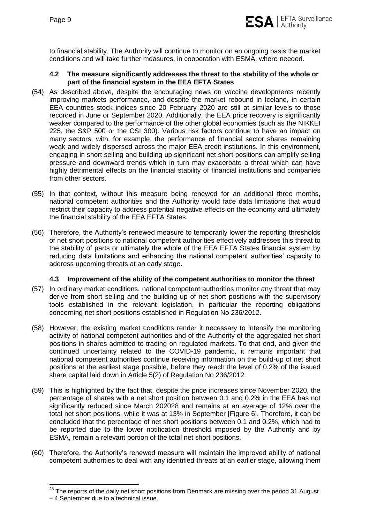

to financial stability. The Authority will continue to monitor on an ongoing basis the market conditions and will take further measures, in cooperation with ESMA, where needed.

### **4.2 The measure significantly addresses the threat to the stability of the whole or part of the financial system in the EEA EFTA States**

- (54) As described above, despite the encouraging news on vaccine developments recently improving markets performance, and despite the market rebound in Iceland, in certain EEA countries stock indices since 20 February 2020 are still at similar levels to those recorded in June or September 2020. Additionally, the EEA price recovery is significantly weaker compared to the performance of the other global economies (such as the NIKKEI 225, the S&P 500 or the CSI 300). Various risk factors continue to have an impact on many sectors, with, for example, the performance of financial sector shares remaining weak and widely dispersed across the major EEA credit institutions. In this environment, engaging in short selling and building up significant net short positions can amplify selling pressure and downward trends which in turn may exacerbate a threat which can have highly detrimental effects on the financial stability of financial institutions and companies from other sectors.
- (55) In that context, without this measure being renewed for an additional three months, national competent authorities and the Authority would face data limitations that would restrict their capacity to address potential negative effects on the economy and ultimately the financial stability of the EEA EFTA States.
- (56) Therefore, the Authority's renewed measure to temporarily lower the reporting thresholds of net short positions to national competent authorities effectively addresses this threat to the stability of parts or ultimately the whole of the EEA EFTA States financial system by reducing data limitations and enhancing the national competent authorities' capacity to address upcoming threats at an early stage.

### **4.3 Improvement of the ability of the competent authorities to monitor the threat**

- (57) In ordinary market conditions, national competent authorities monitor any threat that may derive from short selling and the building up of net short positions with the supervisory tools established in the relevant legislation, in particular the reporting obligations concerning net short positions established in Regulation No 236/2012.
- (58) However, the existing market conditions render it necessary to intensify the monitoring activity of national competent authorities and of the Authority of the aggregated net short positions in shares admitted to trading on regulated markets. To that end, and given the continued uncertainty related to the COVID-19 pandemic, it remains important that national competent authorities continue receiving information on the build-up of net short positions at the earliest stage possible, before they reach the level of 0.2% of the issued share capital laid down in Article 5(2) of Regulation No 236/2012.
- (59) This is highlighted by the fact that, despite the price increases since November 2020, the percentage of shares with a net short position between 0.1 and 0.2% in the EEA has not significantly reduced since March 202028 and remains at an average of 12% over the total net short positions, while it was at 13% in September [Figure 6]. Therefore, it can be concluded that the percentage of net short positions between 0.1 and 0.2%, which had to be reported due to the lower notification threshold imposed by the Authority and by ESMA, remain a relevant portion of the total net short positions.
- (60) Therefore, the Authority's renewed measure will maintain the improved ability of national competent authorities to deal with any identified threats at an earlier stage, allowing them

  $^{28}$  The reports of the daily net short positions from Denmark are missing over the period 31 August

<sup>–</sup> 4 September due to a technical issue.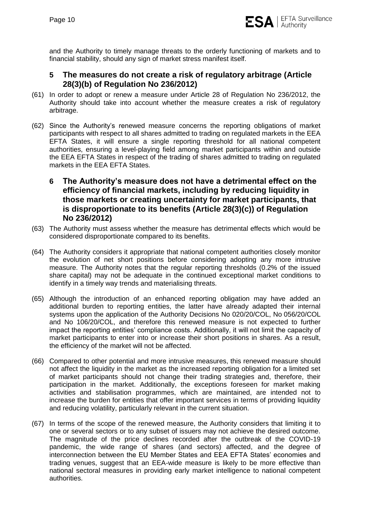

and the Authority to timely manage threats to the orderly functioning of markets and to financial stability, should any sign of market stress manifest itself.

- **5 The measures do not create a risk of regulatory arbitrage (Article 28(3)(b) of Regulation No 236/2012)**
- (61) In order to adopt or renew a measure under Article 28 of Regulation No 236/2012, the Authority should take into account whether the measure creates a risk of regulatory arbitrage.
- (62) Since the Authority's renewed measure concerns the reporting obligations of market participants with respect to all shares admitted to trading on regulated markets in the EEA EFTA States, it will ensure a single reporting threshold for all national competent authorities, ensuring a level-playing field among market participants within and outside the EEA EFTA States in respect of the trading of shares admitted to trading on regulated markets in the EEA EFTA States.
	- **6 The Authority's measure does not have a detrimental effect on the efficiency of financial markets, including by reducing liquidity in those markets or creating uncertainty for market participants, that is disproportionate to its benefits (Article 28(3)(c)) of Regulation No 236/2012)**
- (63) The Authority must assess whether the measure has detrimental effects which would be considered disproportionate compared to its benefits.
- (64) The Authority considers it appropriate that national competent authorities closely monitor the evolution of net short positions before considering adopting any more intrusive measure. The Authority notes that the regular reporting thresholds (0.2% of the issued share capital) may not be adequate in the continued exceptional market conditions to identify in a timely way trends and materialising threats.
- (65) Although the introduction of an enhanced reporting obligation may have added an additional burden to reporting entities, the latter have already adapted their internal systems upon the application of the Authority Decisions No 020/20/COL, No 056/20/COL and No 106/20/COL, and therefore this renewed measure is not expected to further impact the reporting entities' compliance costs. Additionally, it will not limit the capacity of market participants to enter into or increase their short positions in shares. As a result, the efficiency of the market will not be affected.
- (66) Compared to other potential and more intrusive measures, this renewed measure should not affect the liquidity in the market as the increased reporting obligation for a limited set of market participants should not change their trading strategies and, therefore, their participation in the market. Additionally, the exceptions foreseen for market making activities and stabilisation programmes, which are maintained, are intended not to increase the burden for entities that offer important services in terms of providing liquidity and reducing volatility, particularly relevant in the current situation.
- (67) In terms of the scope of the renewed measure, the Authority considers that limiting it to one or several sectors or to any subset of issuers may not achieve the desired outcome. The magnitude of the price declines recorded after the outbreak of the COVID-19 pandemic, the wide range of shares (and sectors) affected, and the degree of interconnection between the EU Member States and EEA EFTA States' economies and trading venues, suggest that an EEA-wide measure is likely to be more effective than national sectoral measures in providing early market intelligence to national competent authorities.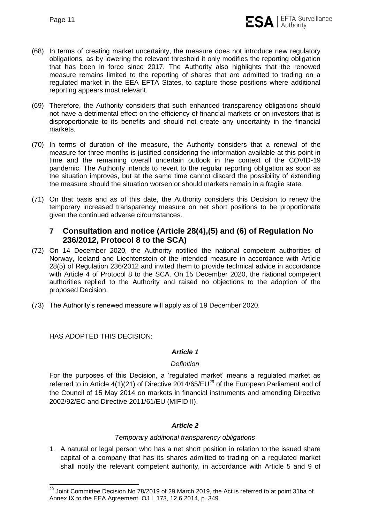

- (68) In terms of creating market uncertainty, the measure does not introduce new regulatory obligations, as by lowering the relevant threshold it only modifies the reporting obligation that has been in force since 2017. The Authority also highlights that the renewed measure remains limited to the reporting of shares that are admitted to trading on a regulated market in the EEA EFTA States, to capture those positions where additional reporting appears most relevant.
- (69) Therefore, the Authority considers that such enhanced transparency obligations should not have a detrimental effect on the efficiency of financial markets or on investors that is disproportionate to its benefits and should not create any uncertainty in the financial markets.
- (70) In terms of duration of the measure, the Authority considers that a renewal of the measure for three months is justified considering the information available at this point in time and the remaining overall uncertain outlook in the context of the COVID-19 pandemic. The Authority intends to revert to the regular reporting obligation as soon as the situation improves, but at the same time cannot discard the possibility of extending the measure should the situation worsen or should markets remain in a fragile state.
- (71) On that basis and as of this date, the Authority considers this Decision to renew the temporary increased transparency measure on net short positions to be proportionate given the continued adverse circumstances.

# **7 Consultation and notice (Article 28(4),(5) and (6) of Regulation No 236/2012, Protocol 8 to the SCA)**

- (72) On 14 December 2020, the Authority notified the national competent authorities of Norway, Iceland and Liechtenstein of the intended measure in accordance with Article 28(5) of Regulation 236/2012 and invited them to provide technical advice in accordance with Article 4 of Protocol 8 to the SCA. On 15 December 2020, the national competent authorities replied to the Authority and raised no objections to the adoption of the proposed Decision.
- (73) The Authority's renewed measure will apply as of 19 December 2020.

HAS ADOPTED THIS DECISION:

### *Article 1*

### *Definition*

For the purposes of this Decision, a 'regulated market' means a regulated market as referred to in Article 4(1)(21) of Directive 2014/65/EU<sup>29</sup> of the European Parliament and of the Council of 15 May 2014 on markets in financial instruments and amending Directive 2002/92/EC and Directive 2011/61/EU (MIFID II).

### *Article 2*

### *Temporary additional transparency obligations*

1. A natural or legal person who has a net short position in relation to the issued share capital of a company that has its shares admitted to trading on a regulated market shall notify the relevant competent authority, in accordance with Article 5 and 9 of

  $^{29}$  Joint Committee Decision No 78/2019 of 29 March 2019, the Act is referred to at point 31ba of Annex IX to the EEA Agreement, OJ L 173, 12.6.2014, p. 349.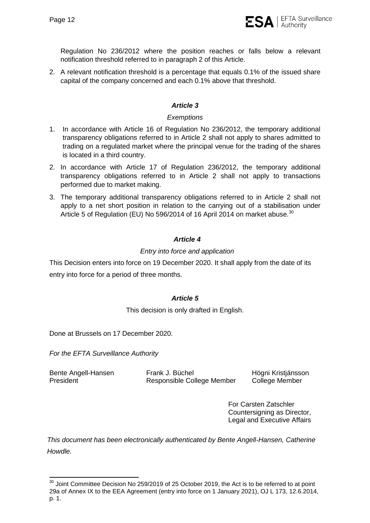

Regulation No 236/2012 where the position reaches or falls below a relevant notification threshold referred to in paragraph 2 of this Article.

2. A relevant notification threshold is a percentage that equals 0.1% of the issued share capital of the company concerned and each 0.1% above that threshold.

# *Article 3*

## *Exemptions*

- 1. In accordance with Article 16 of Regulation No 236/2012, the temporary additional transparency obligations referred to in Article 2 shall not apply to shares admitted to trading on a regulated market where the principal venue for the trading of the shares is located in a third country.
- 2. In accordance with Article 17 of Regulation 236/2012, the temporary additional transparency obligations referred to in Article 2 shall not apply to transactions performed due to market making.
- 3. The temporary additional transparency obligations referred to in Article 2 shall not apply to a net short position in relation to the carrying out of a stabilisation under Article 5 of Regulation (EU) No 596/2014 of 16 April 2014 on market abuse.<sup>30</sup>

## *Article 4*

### *Entry into force and application*

This Decision enters into force on 19 December 2020. It shall apply from the date of its entry into force for a period of three months.

## *Article 5*

This decision is only drafted in English.

Done at Brussels on 17 December 2020.

*For the EFTA Surveillance Authority*

Bente Angell-Hansen President

1

Frank J. Büchel Responsible College Member

Högni Kristjánsson College Member

For Carsten Zatschler Countersigning as Director, Legal and Executive Affairs

*This document has been electronically authenticated by Bente Angell-Hansen, Catherine Howdle.*

 $30$  Joint Committee Decision No 259/2019 of 25 October 2019, the Act is to be referred to at point 29a of Annex IX to the EEA Agreement (entry into force on 1 January 2021), OJ L 173, 12.6.2014, p. 1.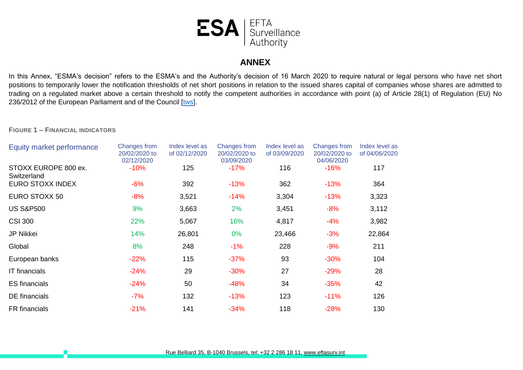

# **ANNEX**

In this Annex, "ESMA's decision" refers to the ESMA's and the Authority's decision of 16 March 2020 to require natural or legal persons who have net short positions to temporarily lower the notification thresholds of net short positions in relation to the issued shares capital of companies whose shares are admitted to trading on a regulated market above a certain threshold to notify the competent authorities in accordance with point (a) of Article 28(1) of Regulation (EU) No 236/2012 of the European Parliament and of the Council [\[tws\]](https://www.esma.europa.eu/sites/default/files/library/esma70-155-9546_esma_decision_-_article_28_ssr_reporting_threshold.pdf).

**FIGURE 1 – FINANCIAL INDICATORS**

| Equity market performance           | Changes from<br>20/02/2020 to<br>02/12/2020 | Index level as<br>of 02/12/2020 | Changes from<br>20/02/2020 to<br>03/09/2020 | Index level as<br>of 03/09/2020 | Changes from<br>20/02/2020 to<br>04/06/2020 | Index level as<br>of 04/06/2020 |
|-------------------------------------|---------------------------------------------|---------------------------------|---------------------------------------------|---------------------------------|---------------------------------------------|---------------------------------|
| STOXX EUROPE 800 ex.<br>Switzerland | $-10%$                                      | 125                             | $-17%$                                      | 116                             | $-16%$                                      | 117                             |
| EURO STOXX INDEX                    | $-6%$                                       | 392                             | $-13%$                                      | 362                             | $-13%$                                      | 364                             |
| <b>EURO STOXX 50</b>                | $-8%$                                       | 3,521                           | $-14%$                                      | 3,304                           | $-13%$                                      | 3,323                           |
| <b>US S&amp;P500</b>                | 9%                                          | 3,663                           | 2%                                          | 3,451                           | $-8%$                                       | 3,112                           |
| <b>CSI 300</b>                      | 22%                                         | 5,067                           | 16%                                         | 4,817                           | $-4%$                                       | 3,982                           |
| <b>JP Nikkei</b>                    | 14%                                         | 26,801                          | 0%                                          | 23,466                          | $-3%$                                       | 22,864                          |
| Global                              | 8%                                          | 248                             | $-1%$                                       | 228                             | $-9%$                                       | 211                             |
| European banks                      | $-22%$                                      | 115                             | $-37%$                                      | 93                              | $-30%$                                      | 104                             |
| <b>IT</b> financials                | $-24%$                                      | 29                              | $-30%$                                      | 27                              | $-29%$                                      | 28                              |
| <b>ES</b> financials                | $-24%$                                      | 50                              | $-48%$                                      | 34                              | $-35%$                                      | 42                              |
| DE financials                       | $-7%$                                       | 132                             | $-13%$                                      | 123                             | $-11%$                                      | 126                             |
| FR financials                       | $-21%$                                      | 141                             | $-34%$                                      | 118                             | $-28%$                                      | 130                             |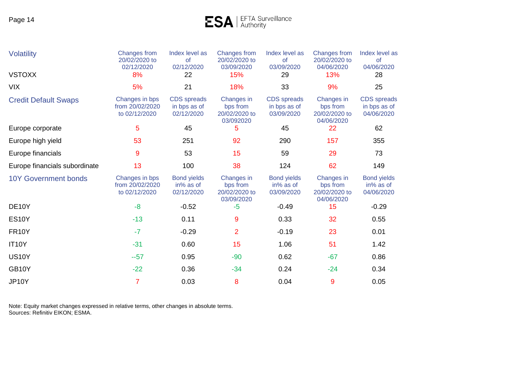| <b>Volatility</b><br><b>VSTOXX</b> | <b>Changes from</b><br>20/02/2020 to<br>02/12/2020<br>8% | Index level as<br>of<br>02/12/2020<br>22         | <b>Changes from</b><br>20/02/2020 to<br>03/09/2020<br>15% | Index level as<br><b>of</b><br>03/09/2020<br>29  | <b>Changes from</b><br>20/02/2020 to<br>04/06/2020<br>13% | Index level as<br><b>of</b><br>04/06/2020<br>28  |
|------------------------------------|----------------------------------------------------------|--------------------------------------------------|-----------------------------------------------------------|--------------------------------------------------|-----------------------------------------------------------|--------------------------------------------------|
|                                    |                                                          |                                                  |                                                           |                                                  |                                                           |                                                  |
| <b>VIX</b>                         | 5%                                                       | 21                                               | 18%                                                       | 33                                               | 9%                                                        | 25                                               |
| <b>Credit Default Swaps</b>        | Changes in bps<br>from 20/02/2020<br>to 02/12/2020       | <b>CDS</b> spreads<br>in bps as of<br>02/12/2020 | Changes in<br>bps from<br>20/02/2020 to<br>03/092020      | <b>CDS</b> spreads<br>in bps as of<br>03/09/2020 | Changes in<br>bps from<br>20/02/2020 to<br>04/06/2020     | <b>CDS</b> spreads<br>in bps as of<br>04/06/2020 |
| Europe corporate                   | 5                                                        | 45                                               | 5                                                         | 45                                               | 22                                                        | 62                                               |
| Europe high yield                  | 53                                                       | 251                                              | 92                                                        | 290                                              | 157                                                       | 355                                              |
| Europe financials                  | 9                                                        | 53                                               | 15                                                        | 59                                               | 29                                                        | 73                                               |
| Europe financials subordinate      | 13                                                       | 100                                              | 38                                                        | 124                                              | 62                                                        | 149                                              |
| <b>10Y Government bonds</b>        | Changes in bps<br>from 20/02/2020<br>to 02/12/2020       | <b>Bond yields</b><br>in% as of<br>02/12/2020    | Changes in<br>bps from<br>20/02/2020 to<br>03/09/2020     | <b>Bond yields</b><br>in% as of<br>03/09/2020    | Changes in<br>bps from<br>20/02/2020 to<br>04/06/2020     | <b>Bond yields</b><br>$in\%$ as of<br>04/06/2020 |
| DE <sub>10</sub> Y                 | $-8$                                                     | $-0.52$                                          | $-5$                                                      | $-0.49$                                          | 15                                                        | $-0.29$                                          |
| ES <sub>10</sub> Y                 | $-13$                                                    | 0.11                                             | 9                                                         | 0.33                                             | 32                                                        | 0.55                                             |
| <b>FR10Y</b>                       | $-7$                                                     | $-0.29$                                          | $\overline{2}$                                            | $-0.19$                                          | 23                                                        | 0.01                                             |
| IT10Y                              | $-31$                                                    | 0.60                                             | 15                                                        | 1.06                                             | 51                                                        | 1.42                                             |
| <b>US10Y</b>                       | $-57$                                                    | 0.95                                             | $-90$                                                     | 0.62                                             | $-67$                                                     | 0.86                                             |
| GB10Y                              | $-22$                                                    | 0.36                                             | $-34$                                                     | 0.24                                             | $-24$                                                     | 0.34                                             |
| <b>JP10Y</b>                       | $\overline{7}$                                           | 0.03                                             | 8                                                         | 0.04                                             | 9                                                         | 0.05                                             |

Note: Equity market changes expressed in relative terms, other changes in absolute terms. Sources: Refinitiv EIKON; ESMA.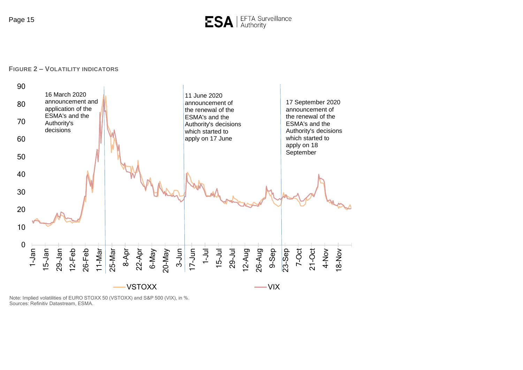

#### **FIGURE 2 – VOLATILITY INDICATORS**



Note: Implied volatilities of EURO STOXX 50 (VSTOXX) and S&P 500 (VIX), in %. Sources: Refinitiv Datastream, ESMA.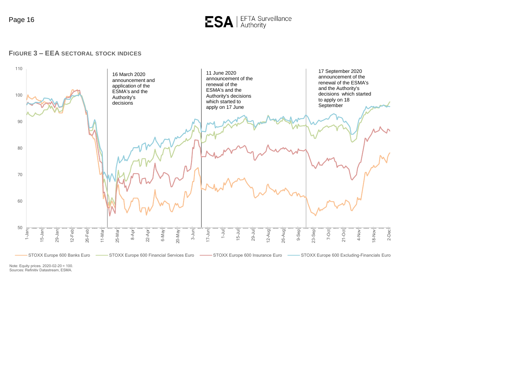

#### **FIGURE 3 – EEA SECTORAL STOCK INDICES**



Note: Equity prices. 2020-02-20 = 100. Sources: Refinitiv Datastream, ESMA.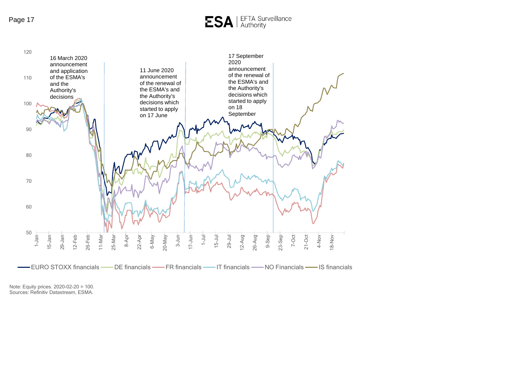



Note: Equity prices. 2020-02-20 = 100. Sources: Refinitiv Datastream, ESMA.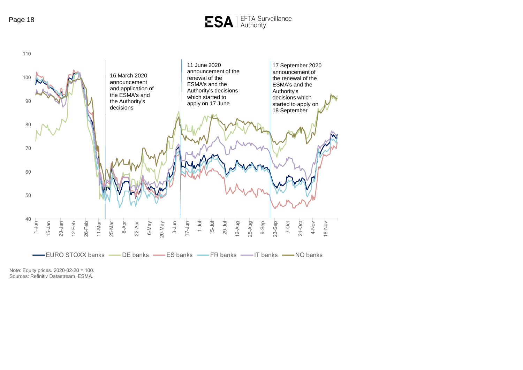



Note: Equity prices. 2020-02-20 = 100. Sources: Refinitiv Datastream, ESMA.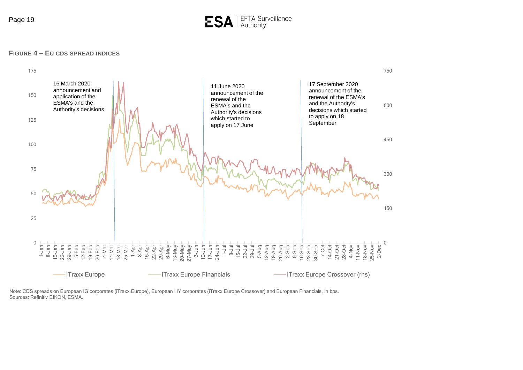

## **FIGURE 4 – EU CDS SPREAD INDICES**



Note: CDS spreads on European IG corporates (iTraxx Europe), European HY corporates (iTraxx Europe Crossover) and European Financials, in bps. Sources: Refinitiv EIKON, ESMA.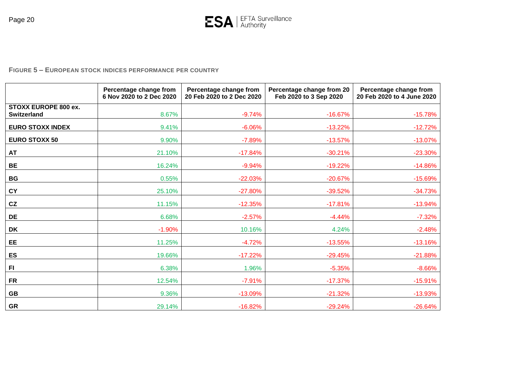

**FIGURE 5 – EUROPEAN STOCK INDICES PERFORMANCE PER COUNTRY**

|                                            | Percentage change from<br>6 Nov 2020 to 2 Dec 2020 | Percentage change from<br>20 Feb 2020 to 2 Dec 2020 | Percentage change from 20<br>Feb 2020 to 3 Sep 2020 | Percentage change from<br>20 Feb 2020 to 4 June 2020 |
|--------------------------------------------|----------------------------------------------------|-----------------------------------------------------|-----------------------------------------------------|------------------------------------------------------|
| STOXX EUROPE 800 ex.<br><b>Switzerland</b> | 8.67%                                              | $-9.74%$                                            | $-16.67%$                                           | $-15.78%$                                            |
| <b>EURO STOXX INDEX</b>                    | 9.41%                                              | $-6.06%$                                            | $-13.22%$                                           | $-12.72%$                                            |
| <b>EURO STOXX 50</b>                       | 9.90%                                              | $-7.89%$                                            | $-13.57%$                                           | $-13.07%$                                            |
| <b>AT</b>                                  | 21.10%                                             | $-17.84%$                                           | $-30.21%$                                           | $-23.30%$                                            |
| <b>BE</b>                                  | 16.24%                                             | $-9.94%$                                            | $-19.22%$                                           | $-14.86%$                                            |
| $\mathsf{B}\mathsf{G}$                     | 0.55%                                              | $-22.03%$                                           | $-20.67%$                                           | $-15.69%$                                            |
| <b>CY</b>                                  | 25.10%                                             | $-27.80%$                                           | $-39.52%$                                           | $-34.73%$                                            |
| CZ                                         | 11.15%                                             | $-12.35%$                                           | $-17.81%$                                           | $-13.94%$                                            |
| DE                                         | 6.68%                                              | $-2.57%$                                            | $-4.44%$                                            | $-7.32%$                                             |
| DK                                         | $-1.90%$                                           | 10.16%                                              | 4.24%                                               | $-2.48%$                                             |
| EE.                                        | 11.25%                                             | $-4.72%$                                            | $-13.55%$                                           | $-13.16%$                                            |
| <b>ES</b>                                  | 19.66%                                             | $-17.22%$                                           | $-29.45%$                                           | $-21.88%$                                            |
| FI.                                        | 6.38%                                              | 1.96%                                               | $-5.35%$                                            | $-8.66%$                                             |
| <b>FR</b>                                  | 12.54%                                             | $-7.91%$                                            | $-17.37%$                                           | $-15.91%$                                            |
| <b>GB</b>                                  | 9.36%                                              | $-13.09%$                                           | $-21.32%$                                           | $-13.93%$                                            |
| GR                                         | 29.14%                                             | $-16.82%$                                           | $-29.24%$                                           | $-26.64%$                                            |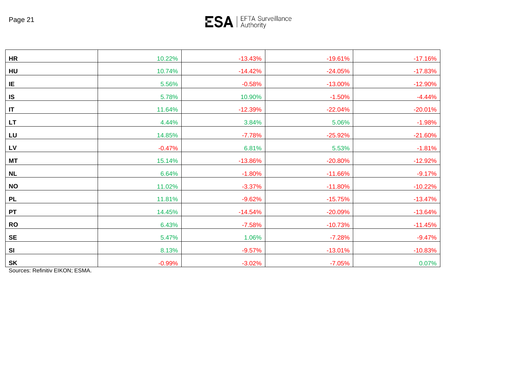| HR                     | 10.22%   | $-13.43%$ | $-19.61%$ | $-17.16%$ |
|------------------------|----------|-----------|-----------|-----------|
| HU                     | 10.74%   | $-14.42%$ | $-24.05%$ | $-17.83%$ |
| IE                     | 5.56%    | $-0.58%$  | $-13.00%$ | $-12.90%$ |
| <b>IS</b>              | 5.78%    | 10.90%    | $-1.50%$  | $-4.44%$  |
| $\mathsf{I}\mathsf{T}$ | 11.64%   | $-12.39%$ | $-22.04%$ | $-20.01%$ |
| <b>LT</b>              | 4.44%    | 3.84%     | 5.06%     | $-1.98%$  |
| LU                     | 14.85%   | $-7.78%$  | $-25.92%$ | $-21.60%$ |
| LV                     | $-0.47%$ | 6.81%     | 5.53%     | $-1.81%$  |
| MT                     | 15.14%   | $-13.86%$ | $-20.80%$ | $-12.92%$ |
| <b>NL</b>              | 6.64%    | $-1.80%$  | $-11.66%$ | $-9.17%$  |
| <b>NO</b>              | 11.02%   | $-3.37%$  | $-11.80%$ | $-10.22%$ |
| <b>PL</b>              | 11.81%   | $-9.62%$  | $-15.75%$ | $-13.47%$ |
| <b>PT</b>              | 14.45%   | $-14.54%$ | $-20.09%$ | $-13.64%$ |
| <b>RO</b>              | 6.43%    | $-7.58%$  | $-10.73%$ | $-11.45%$ |
| <b>SE</b>              | 5.47%    | 1.06%     | $-7.28%$  | $-9.47%$  |
| SI                     | 8.13%    | $-9.57%$  | $-13.01%$ | $-10.83%$ |
| <b>SK</b>              | $-0.99%$ | $-3.02%$  | $-7.05%$  | 0.07%     |

Sources: Refinitiv EIKON; ESMA.